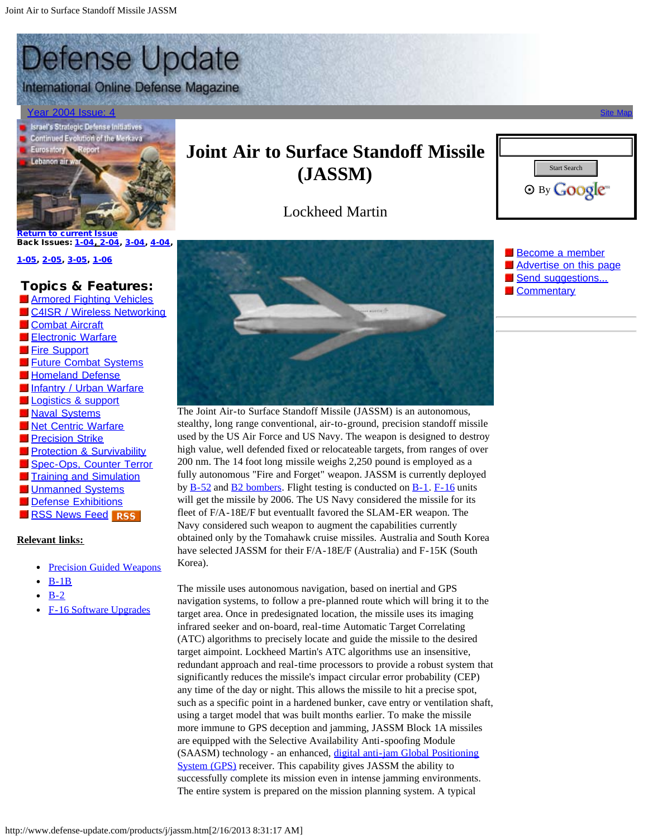# **Defense Update**

International Online Defense Magazine

### [Year 2004 Issue: 4](http://www.defense-update.com/4-04.htm) [Site Map](http://www.defense-update.com/site-map.htm)



## **Joint Air to Surface Standoff Missile (JASSM)**

Lockheed Martin



[Return to current Issue](http://www.defense-update.com/index.htm) Back Issues: [1-04,](http://www.defense-update.com/1-04.htm) [2-04](http://www.defense-update.com/2-04.htm), [3-04](http://www.defense-update.com/3-04.htm), 4-04

[1-05,](http://www.defense-update.com/1-05.htm) [2-05,](http://www.defense-update.com/2-05.htm) [3-05,](http://www.defense-update.com/3-05.htm) [1-06](http://www.defense-update.com/1-06.htm)

## Topics & Features:

**[Armored Fighting Vehicles](http://www.defense-update.com/topics/topics-armor.htm)** [C4ISR / Wireless Networking](http://www.defense-update.com/topics/topics-c4isr.htm) [Combat Aircraft](http://www.defense-update.com/topics/topics-air.htm) [Electronic Warfare](http://www.defense-update.com/topics/topics-ew.htm) **[Fire Support](http://www.defense-update.com/topics/topics-fs.htm) [Future Combat Systems](http://www.defense-update.com/topics/topics-fcs.htm) [Homeland Defense](http://www.defense-update.com/topics/topics-hsd.htm) [Infantry / Urban Warfare](http://www.defense-update.com/topics/topics-infantry.htm) [Logistics & support](http://www.defense-update.com/topics/topics-support.htm) [Naval Systems](http://www.defense-update.com/topics/topics-navy.htm)** [Net Centric Warfare](http://www.defense-update.com/topics/topics-ncw.htm) **[Precision Strike](http://www.defense-update.com/topics/topics-strike.htm) [Protection & Survivability](http://www.defense-update.com/topics/topics-protection.htm)** [Spec-Ops, Counter Terror](http://www.defense-update.com/topics/topics-sf-ct.htm) **[Training and Simulation](http://www.defense-update.com/topics/topics-sim.htm) [Unmanned Systems](http://www.defense-update.com/topics/topics-uvs.htm) [Defense Exhibitions](http://www.defense-update.com/events/2004/q4-2004.htm) [RSS News Feed](http://www.defense-update.com/RSS/RSS-help.htm) RSS** 

#### **Relevant links:**

- [Precision Guided Weapons](http://www.defense-update.com/features/du-4-04/feature-pgm.htm)  $\bullet$
- [B-1B](http://www.defense-update.com/products/b/b-1b.htm)
- $B-2$
- [F-16 Software Upgrades](http://www.defense-update.com/features/du-1-04/f-16-upgrades-software.htm)



The Joint Air-to Surface Standoff Missile (JASSM) is an autonomous, stealthy, long range conventional, air-to-ground, precision standoff missile used by the US Air Force and US Navy. The weapon is designed to destroy high value, well defended fixed or relocateable targets, from ranges of over 200 nm. The 14 foot long missile weighs 2,250 pound is employed as a fully autonomous "Fire and Forget" weapon. JASSM is currently deployed by  $B-52$  and  $B2$  bombers. Flight testing is conducted on  $B-1$ .  $F-16$  units will get the missile by 2006. The US Navy considered the missile for its fleet of F/A-18E/F but eventuallt favored the SLAM-ER weapon. The Navy considered such weapon to augment the capabilities currently obtained only by the Tomahawk cruise missiles. Australia and South Korea have selected JASSM for their F/A-18E/F (Australia) and F-15K (South Korea).

The missile uses autonomous navigation, based on inertial and GPS navigation systems, to follow a pre-planned route which will bring it to the target area. Once in predesignated location, the missile uses its imaging infrared seeker and on-board, real-time Automatic Target Correlating (ATC) algorithms to precisely locate and guide the missile to the desired target aimpoint. Lockheed Martin's ATC algorithms use an insensitive, redundant approach and real-time processors to provide a robust system that significantly reduces the missile's impact circular error probability (CEP) any time of the day or night. This allows the missile to hit a precise spot, such as a specific point in a hardened bunker, cave entry or ventilation shaft, using a target model that was built months earlier. To make the missile more immune to GPS deception and jamming, JASSM Block 1A missiles are equipped with the Selective Availability Anti-spoofing Module (SAASM) technology - an enhanced, [digital anti-jam Global Positioning](http://www.defense-update.com/products/g/GPS-STAP.htm) [System \(GPS\)](http://www.defense-update.com/products/g/GPS-STAP.htm) receiver. This capability gives JASSM the ability to successfully complete its mission even in intense jamming environments. The entire system is prepared on the mission planning system. A typical

**[Become a member](http://www.defense-update.com/subscribe.htm) [Advertise on this page](http://www.defense-update.com/forms/advertise.htm)** [Send suggestions...](http://www.defense-update.com/forms/LETTER.htm)

**[Commentary](http://www.defense-update.com/weblog.html)**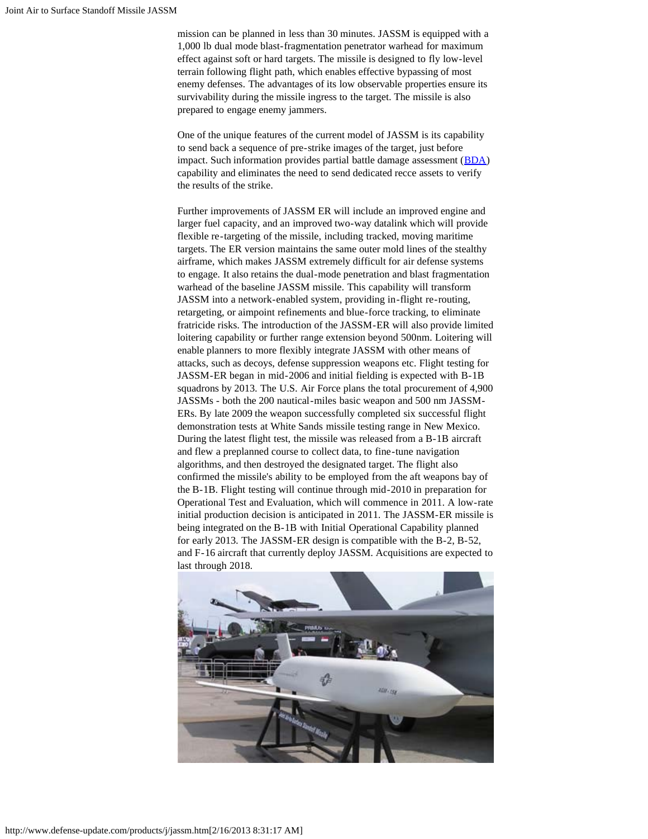mission can be planned in less than 30 minutes. JASSM is equipped with a 1,000 lb dual mode blast-fragmentation penetrator warhead for maximum effect against soft or hard targets. The missile is designed to fly low-level terrain following flight path, which enables effective bypassing of most enemy defenses. The advantages of its low observable properties ensure its survivability during the missile ingress to the target. The missile is also prepared to engage enemy jammers.

One of the unique features of the current model of JASSM is its capability to send back a sequence of pre-strike images of the target, just before impact. Such information provides partial battle damage assessment ([BDA\)](http://www.defense-update.com/features/du-4-04/strike-bda.htm) capability and eliminates the need to send dedicated recce assets to verify the results of the strike.

Further improvements of JASSM ER will include an improved engine and larger fuel capacity, and an improved two-way datalink which will provide flexible re-targeting of the missile, including tracked, moving maritime targets. The ER version maintains the same outer mold lines of the stealthy airframe, which makes JASSM extremely difficult for air defense systems to engage. It also retains the dual-mode penetration and blast fragmentation warhead of the baseline JASSM missile. This capability will transform JASSM into a network-enabled system, providing in-flight re-routing, retargeting, or aimpoint refinements and blue-force tracking, to eliminate fratricide risks. The introduction of the JASSM-ER will also provide limited loitering capability or further range extension beyond 500nm. Loitering will enable planners to more flexibly integrate JASSM with other means of attacks, such as decoys, defense suppression weapons etc. Flight testing for JASSM-ER began in mid-2006 and initial fielding is expected with B-1B squadrons by 2013. The U.S. Air Force plans the total procurement of 4,900 JASSMs - both the 200 nautical-miles basic weapon and 500 nm JASSM-ERs. By late 2009 the weapon successfully completed six successful flight demonstration tests at White Sands missile testing range in New Mexico. During the latest flight test, the missile was released from a B-1B aircraft and flew a preplanned course to collect data, to fine-tune navigation algorithms, and then destroyed the designated target. The flight also confirmed the missile's ability to be employed from the aft weapons bay of the B-1B. Flight testing will continue through mid-2010 in preparation for Operational Test and Evaluation, which will commence in 2011. A low-rate initial production decision is anticipated in 2011. The JASSM-ER missile is being integrated on the B-1B with Initial Operational Capability planned for early 2013. The JASSM-ER design is compatible with the B-2, B-52, and F-16 aircraft that currently deploy JASSM. Acquisitions are expected to last through 2018.